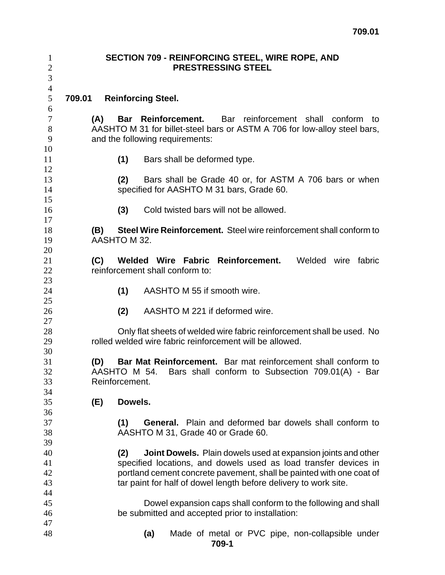| $\mathbf{1}$<br>$\mathbf{2}$<br>3 |                                                                                                                                                            | <b>SECTION 709 - REINFORCING STEEL, WIRE ROPE, AND</b><br><b>PRESTRESSING STEEL</b>                                                                                                                                                                                                  |  |  |  |
|-----------------------------------|------------------------------------------------------------------------------------------------------------------------------------------------------------|--------------------------------------------------------------------------------------------------------------------------------------------------------------------------------------------------------------------------------------------------------------------------------------|--|--|--|
| $\overline{4}$<br>5<br>6          | 709.01                                                                                                                                                     | <b>Reinforcing Steel.</b>                                                                                                                                                                                                                                                            |  |  |  |
| $\tau$<br>8<br>9                  |                                                                                                                                                            | <b>Bar Reinforcement.</b><br>Bar reinforcement shall conform to<br>(A)<br>AASHTO M 31 for billet-steel bars or ASTM A 706 for low-alloy steel bars,<br>and the following requirements:                                                                                               |  |  |  |
| 10<br>11<br>12                    |                                                                                                                                                            | (1)<br>Bars shall be deformed type.                                                                                                                                                                                                                                                  |  |  |  |
| 13<br>14                          |                                                                                                                                                            | Bars shall be Grade 40 or, for ASTM A 706 bars or when<br>(2)<br>specified for AASHTO M 31 bars, Grade 60.                                                                                                                                                                           |  |  |  |
| 15<br>16<br>17                    |                                                                                                                                                            | (3)<br>Cold twisted bars will not be allowed.                                                                                                                                                                                                                                        |  |  |  |
| 18<br>19<br>20                    |                                                                                                                                                            | Steel Wire Reinforcement. Steel wire reinforcement shall conform to<br>(B)<br>AASHTO M 32.                                                                                                                                                                                           |  |  |  |
| 21<br>22<br>23                    |                                                                                                                                                            | Welded Wire Fabric Reinforcement.<br>Welded wire<br>(C)<br>fabric<br>reinforcement shall conform to:                                                                                                                                                                                 |  |  |  |
| 24<br>25                          |                                                                                                                                                            | AASHTO M 55 if smooth wire.<br>(1)                                                                                                                                                                                                                                                   |  |  |  |
| 26<br>27                          |                                                                                                                                                            | AASHTO M 221 if deformed wire.<br>(2)                                                                                                                                                                                                                                                |  |  |  |
| 28<br>29                          |                                                                                                                                                            | Only flat sheets of welded wire fabric reinforcement shall be used. No<br>rolled welded wire fabric reinforcement will be allowed.                                                                                                                                                   |  |  |  |
| 30<br>31<br>32<br>33<br>34        | Bar Mat Reinforcement. Bar mat reinforcement shall conform to<br>(D)<br>AASHTO M 54.<br>Bars shall conform to Subsection 709.01(A) - Bar<br>Reinforcement. |                                                                                                                                                                                                                                                                                      |  |  |  |
| 35<br>36                          |                                                                                                                                                            | Dowels.<br>(E)                                                                                                                                                                                                                                                                       |  |  |  |
| 37<br>38<br>39                    |                                                                                                                                                            | General. Plain and deformed bar dowels shall conform to<br>(1)<br>AASHTO M 31, Grade 40 or Grade 60.                                                                                                                                                                                 |  |  |  |
| 40<br>41<br>42<br>43<br>44        |                                                                                                                                                            | Joint Dowels. Plain dowels used at expansion joints and other<br>(2)<br>specified locations, and dowels used as load transfer devices in<br>portland cement concrete pavement, shall be painted with one coat of<br>tar paint for half of dowel length before delivery to work site. |  |  |  |
| 45<br>46                          |                                                                                                                                                            | Dowel expansion caps shall conform to the following and shall<br>be submitted and accepted prior to installation:                                                                                                                                                                    |  |  |  |
| 47<br>48                          |                                                                                                                                                            | Made of metal or PVC pipe, non-collapsible under<br>(a)<br>709-1                                                                                                                                                                                                                     |  |  |  |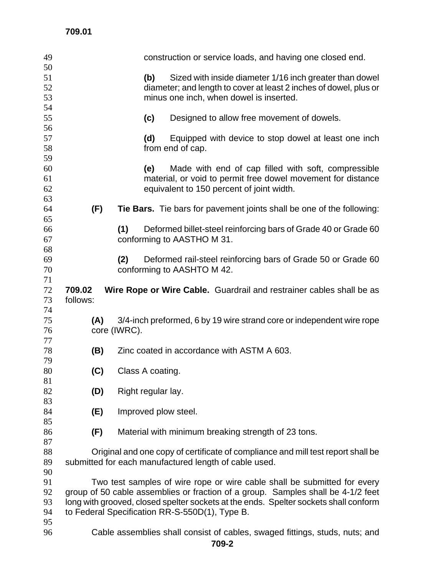| 49       |                                                                                                                                        |              | construction or service loads, and having one closed end.                   |  |
|----------|----------------------------------------------------------------------------------------------------------------------------------------|--------------|-----------------------------------------------------------------------------|--|
| 50<br>51 |                                                                                                                                        |              | Sized with inside diameter 1/16 inch greater than dowel<br>(b)              |  |
| 52       |                                                                                                                                        |              | diameter; and length to cover at least 2 inches of dowel, plus or           |  |
| 53       |                                                                                                                                        |              | minus one inch, when dowel is inserted.                                     |  |
| 54       |                                                                                                                                        |              |                                                                             |  |
| 55       |                                                                                                                                        |              | (c)<br>Designed to allow free movement of dowels.                           |  |
| 56       |                                                                                                                                        |              |                                                                             |  |
| 57       |                                                                                                                                        |              | (d)<br>Equipped with device to stop dowel at least one inch                 |  |
| 58       |                                                                                                                                        |              | from end of cap.                                                            |  |
| 59       |                                                                                                                                        |              |                                                                             |  |
| 60       |                                                                                                                                        |              | Made with end of cap filled with soft, compressible<br>(e)                  |  |
| 61       |                                                                                                                                        |              | material, or void to permit free dowel movement for distance                |  |
| 62       |                                                                                                                                        |              | equivalent to 150 percent of joint width.                                   |  |
| 63       |                                                                                                                                        |              |                                                                             |  |
| 64       | (F)                                                                                                                                    |              | Tie Bars. Tie bars for pavement joints shall be one of the following:       |  |
| 65<br>66 |                                                                                                                                        | (1)          | Deformed billet-steel reinforcing bars of Grade 40 or Grade 60              |  |
| 67       |                                                                                                                                        |              | conforming to AASTHO M 31.                                                  |  |
| 68       |                                                                                                                                        |              |                                                                             |  |
| 69       |                                                                                                                                        | (2)          | Deformed rail-steel reinforcing bars of Grade 50 or Grade 60                |  |
| 70       |                                                                                                                                        |              | conforming to AASHTO M 42.                                                  |  |
| 71       |                                                                                                                                        |              |                                                                             |  |
| 72       | 709.02                                                                                                                                 |              | Wire Rope or Wire Cable. Guardrail and restrainer cables shall be as        |  |
| 73       | follows:                                                                                                                               |              |                                                                             |  |
| 74       |                                                                                                                                        |              |                                                                             |  |
| 75       | (A)                                                                                                                                    |              | 3/4-inch preformed, 6 by 19 wire strand core or independent wire rope       |  |
| 76       |                                                                                                                                        | core (IWRC). |                                                                             |  |
| 77       |                                                                                                                                        |              |                                                                             |  |
| 78       | (B)                                                                                                                                    |              | Zinc coated in accordance with ASTM A 603.                                  |  |
| 79<br>80 |                                                                                                                                        |              |                                                                             |  |
| 81       | (C)                                                                                                                                    |              | Class A coating.                                                            |  |
| 82       | (D)                                                                                                                                    |              | Right regular lay.                                                          |  |
| 83       |                                                                                                                                        |              |                                                                             |  |
| 84       | (E)                                                                                                                                    |              | Improved plow steel.                                                        |  |
| 85       |                                                                                                                                        |              |                                                                             |  |
| 86       | (F)                                                                                                                                    |              | Material with minimum breaking strength of 23 tons.                         |  |
| 87       |                                                                                                                                        |              |                                                                             |  |
| 88       | Original and one copy of certificate of compliance and mill test report shall be                                                       |              |                                                                             |  |
| 89       |                                                                                                                                        |              | submitted for each manufactured length of cable used.                       |  |
| 90       |                                                                                                                                        |              |                                                                             |  |
| 91       | Two test samples of wire rope or wire cable shall be submitted for every                                                               |              |                                                                             |  |
| 92       | group of 50 cable assemblies or fraction of a group. Samples shall be 4-1/2 feet                                                       |              |                                                                             |  |
| 93<br>94 | long with grooved, closed spelter sockets at the ends. Spelter sockets shall conform<br>to Federal Specification RR-S-550D(1), Type B. |              |                                                                             |  |
| 95       |                                                                                                                                        |              |                                                                             |  |
| 96       |                                                                                                                                        |              | Cable assemblies shall consist of cables, swaged fittings, studs, nuts; and |  |
|          |                                                                                                                                        |              |                                                                             |  |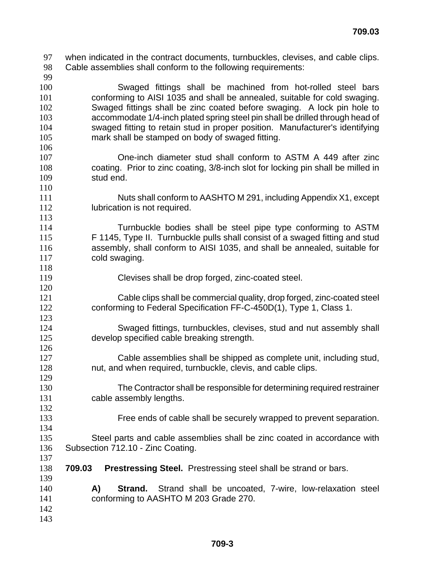- when indicated in the contract documents, turnbuckles, clevises, and cable clips. Cable assemblies shall conform to the following requirements: Swaged fittings shall be machined from hot-rolled steel bars conforming to AISI 1035 and shall be annealed, suitable for cold swaging. Swaged fittings shall be zinc coated before swaging. A lock pin hole to accommodate 1/4-inch plated spring steel pin shall be drilled through head of swaged fitting to retain stud in proper position. Manufacturer's identifying mark shall be stamped on body of swaged fitting. One-inch diameter stud shall conform to ASTM A 449 after zinc coating. Prior to zinc coating, 3/8-inch slot for locking pin shall be milled in stud end. Nuts shall conform to AASHTO M 291, including Appendix X1, except **Iubrication is not required.**  Turnbuckle bodies shall be steel pipe type conforming to ASTM F 1145, Type II. Turnbuckle pulls shall consist of a swaged fitting and stud assembly, shall conform to AISI 1035, and shall be annealed, suitable for 117 cold swaging. Clevises shall be drop forged, zinc-coated steel. Cable clips shall be commercial quality, drop forged, zinc-coated steel conforming to Federal Specification FF-C-450D(1), Type 1, Class 1. Swaged fittings, turnbuckles, clevises, stud and nut assembly shall develop specified cable breaking strength.
- Cable assemblies shall be shipped as complete unit, including stud, nut, and when required, turnbuckle, clevis, and cable clips.
- The Contractor shall be responsible for determining required restrainer cable assembly lengths.
- 

Free ends of cable shall be securely wrapped to prevent separation.

- Steel parts and cable assemblies shall be zinc coated in accordance with Subsection 712.10 - Zinc Coating.
- **709.03 Prestressing Steel.** Prestressing steel shall be strand or bars.
- **A) Strand.** Strand shall be uncoated, 7-wire, low-relaxation steel conforming to AASHTO M 203 Grade 270.
-